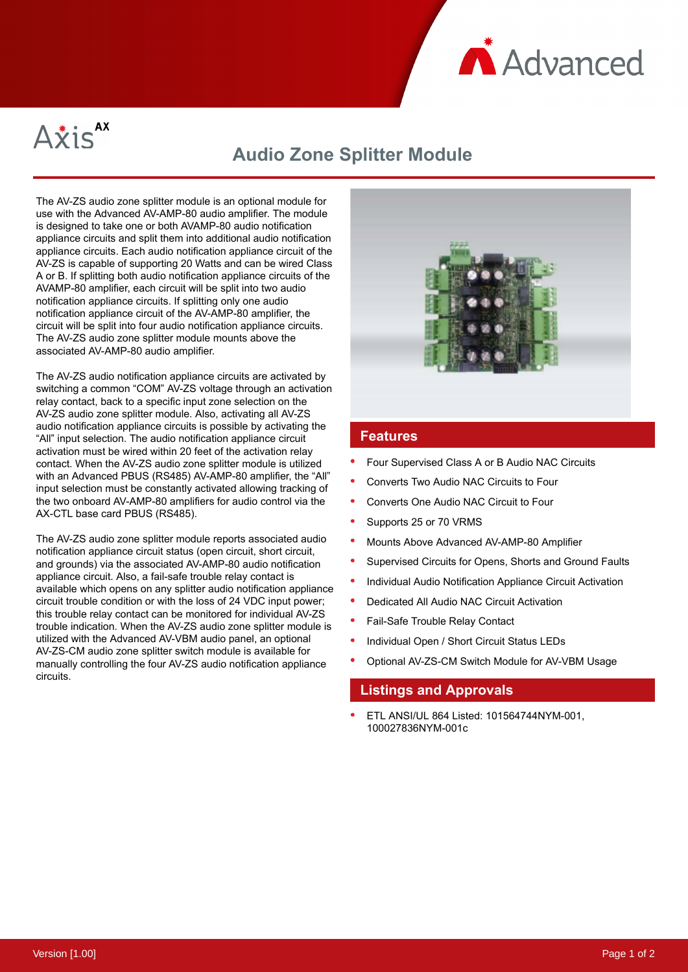



# **Audio Zone Splitter Module**

The AV-ZS audio zone splitter module is an optional module for use with the Advanced AV-AMP-80 audio amplifier. The module is designed to take one or both AVAMP-80 audio notification appliance circuits and split them into additional audio notification appliance circuits. Each audio notification appliance circuit of the AV-ZS is capable of supporting 20 Watts and can be wired Class A or B. If splitting both audio notification appliance circuits of the AVAMP-80 amplifier, each circuit will be split into two audio notification appliance circuits. If splitting only one audio notification appliance circuit of the AV-AMP-80 amplifier, the circuit will be split into four audio notification appliance circuits. The AV-ZS audio zone splitter module mounts above the associated AV-AMP-80 audio amplifier.

The AV-ZS audio notification appliance circuits are activated by switching a common "COM" AV-ZS voltage through an activation relay contact, back to a specific input zone selection on the AV-ZS audio zone splitter module. Also, activating all AV-ZS audio notification appliance circuits is possible by activating the "All" input selection. The audio notification appliance circuit activation must be wired within 20 feet of the activation relay contact. When the AV-ZS audio zone splitter module is utilized with an Advanced PBUS (RS485) AV-AMP-80 amplifier, the "All" input selection must be constantly activated allowing tracking of the two onboard AV-AMP-80 amplifiers for audio control via the AX-CTL base card PBUS (RS485).

The AV-ZS audio zone splitter module reports associated audio notification appliance circuit status (open circuit, short circuit, and grounds) via the associated AV-AMP-80 audio notification appliance circuit. Also, a fail-safe trouble relay contact is available which opens on any splitter audio notification appliance circuit trouble condition or with the loss of 24 VDC input power; this trouble relay contact can be monitored for individual AV-ZS trouble indication. When the AV-ZS audio zone splitter module is utilized with the Advanced AV-VBM audio panel, an optional AV-ZS-CM audio zone splitter switch module is available for manually controlling the four AV-ZS audio notification appliance circuits.



#### **Features**

- Four Supervised Class A or B Audio NAC Circuits
- Converts Two Audio NAC Circuits to Four
- Converts One Audio NAC Circuit to Four
- Supports 25 or 70 VRMS
- Mounts Above Advanced AV-AMP-80 Amplifier
- Supervised Circuits for Opens, Shorts and Ground Faults
- Individual Audio Notification Appliance Circuit Activation
- Dedicated All Audio NAC Circuit Activation
- Fail-Safe Trouble Relay Contact
- Individual Open / Short Circuit Status LEDs
- Optional AV-ZS-CM Switch Module for AV-VBM Usage

#### **Listings and Approvals**

ETL ANSI/UL 864 Listed: 101564744NYM-001, 100027836NYM-001c